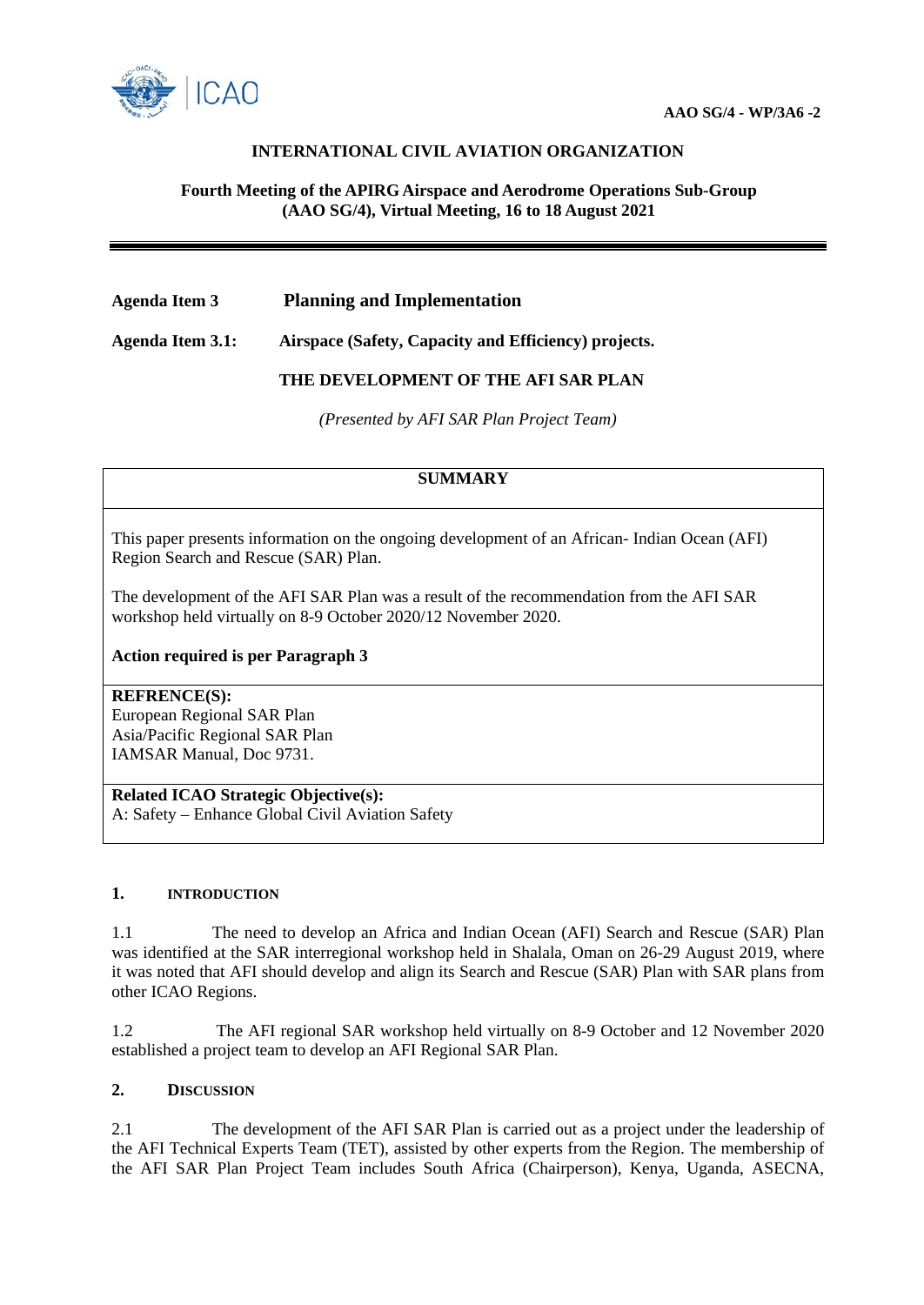

# **INTERNATIONAL CIVIL AVIATION ORGANIZATION**

## **Fourth Meeting of the APIRG Airspace and Aerodrome Operations Sub-Group (AAO SG/4), Virtual Meeting, 16 to 18 August 2021**

## **Agenda Item 3 Planning and Implementation**

**Agenda Item 3.1: Airspace (Safety, Capacity and Efficiency) projects.**

## **THE DEVELOPMENT OF THE AFI SAR PLAN**

*(Presented by AFI SAR Plan Project Team)*

## **SUMMARY**

This paper presents information on the ongoing development of an African- Indian Ocean (AFI) Region Search and Rescue (SAR) Plan.

The development of the AFI SAR Plan was a result of the recommendation from the AFI SAR workshop held virtually on 8-9 October 2020/12 November 2020.

#### **Action required is per Paragraph 3**

#### **REFRENCE(S):**

European Regional SAR Plan Asia/Pacific Regional SAR Plan IAMSAR Manual, Doc 9731.

#### **Related ICAO Strategic Objective(s):**

A: Safety – Enhance Global Civil Aviation Safety

#### **1. INTRODUCTION**

1.1 The need to develop an Africa and Indian Ocean (AFI) Search and Rescue (SAR) Plan was identified at the SAR interregional workshop held in Shalala, Oman on 26-29 August 2019, where it was noted that AFI should develop and align its Search and Rescue (SAR) Plan with SAR plans from other ICAO Regions.

1.2 The AFI regional SAR workshop held virtually on 8-9 October and 12 November 2020 established a project team to develop an AFI Regional SAR Plan.

#### **2. DISCUSSION**

2.1 The development of the AFI SAR Plan is carried out as a project under the leadership of the AFI Technical Experts Team (TET), assisted by other experts from the Region. The membership of the AFI SAR Plan Project Team includes South Africa (Chairperson), Kenya, Uganda, ASECNA,